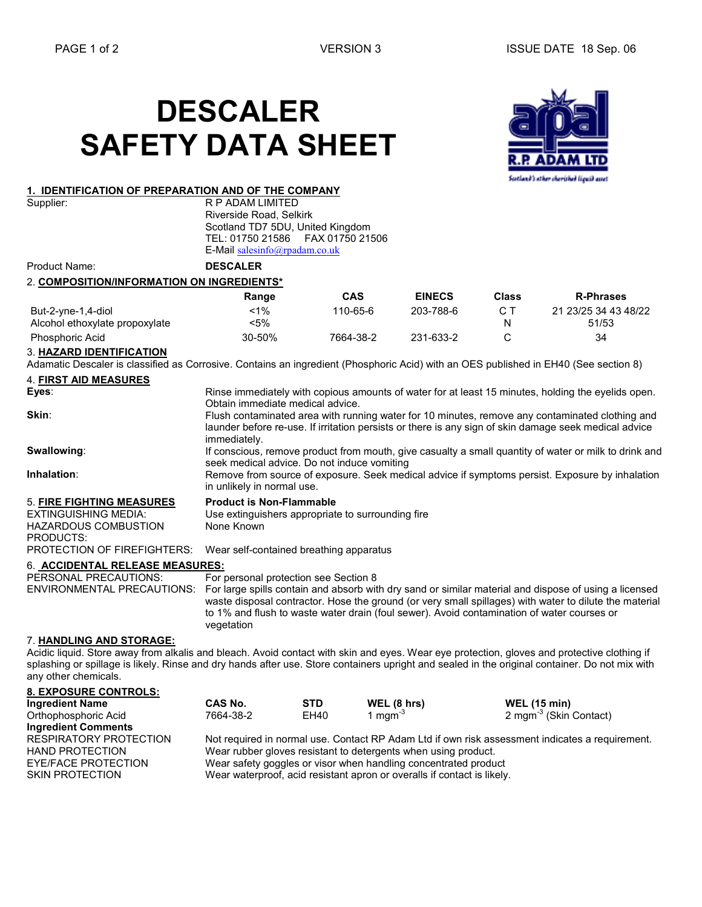# DESCALER SAFETY DATA SHEET





R P ADAM LIMITED Riverside Road, Selkirk Scotland TD7 5DU, United Kingdom TEL: 01750 21586 FAX 01750 21506 E-Mail salesinfo@rpadam.co.uk

Product Name: DESCALER

#### 2. COMPOSITION/INFORMATION ON INGREDIENTS\*

|                                | Range  | <b>CAS</b> | <b>EINECS</b> | <b>Class</b> | <b>R-Phrases</b>     |
|--------------------------------|--------|------------|---------------|--------------|----------------------|
| But-2-yne-1,4-diol             | <1%    | 110-65-6   | 203-788-6     |              | 21 23/25 34 43 48/22 |
| Alcohol ethoxylate propoxylate | <5%    |            |               |              | 51/53                |
| <b>Phosphoric Acid</b>         | 30-50% | 7664-38-2  | 231-633-2     |              | 34                   |
|                                |        |            |               |              |                      |

#### 3. HAZARD IDENTIFICATION

Adamatic Descaler is classified as Corrosive. Contains an ingredient (Phosphoric Acid) with an OES published in EH40 (See section 8)

### 4. FIRST AID MEASURES

| Eyes:                                    | Rinse immediately with copious amounts of water for at least 15 minutes, holding the eyelids open.                                                                                                                                                                                                                          |  |  |  |
|------------------------------------------|-----------------------------------------------------------------------------------------------------------------------------------------------------------------------------------------------------------------------------------------------------------------------------------------------------------------------------|--|--|--|
|                                          | Obtain immediate medical advice.                                                                                                                                                                                                                                                                                            |  |  |  |
| Skin:                                    | Flush contaminated area with running water for 10 minutes, remove any contaminated clothing and<br>launder before re-use. If irritation persists or there is any sign of skin damage seek medical advice<br>immediately.                                                                                                    |  |  |  |
| Swallowing:                              | If conscious, remove product from mouth, give casualty a small quantity of water or milk to drink and<br>seek medical advice. Do not induce vomiting                                                                                                                                                                        |  |  |  |
| Inhalation:                              | Remove from source of exposure. Seek medical advice if symptoms persist. Exposure by inhalation<br>in unlikely in normal use.                                                                                                                                                                                               |  |  |  |
| <b>5. FIRE FIGHTING MEASURES</b>         | <b>Product is Non-Flammable</b>                                                                                                                                                                                                                                                                                             |  |  |  |
| <b>EXTINGUISHING MEDIA:</b>              | Use extinguishers appropriate to surrounding fire                                                                                                                                                                                                                                                                           |  |  |  |
| <b>HAZARDOUS COMBUSTION</b><br>PRODUCTS: | None Known                                                                                                                                                                                                                                                                                                                  |  |  |  |
| PROTECTION OF FIREFIGHTERS:              | Wear self-contained breathing apparatus                                                                                                                                                                                                                                                                                     |  |  |  |
| 6. ACCIDENTAL RELEASE MEASURES:          |                                                                                                                                                                                                                                                                                                                             |  |  |  |
| PERSONAL PRECAUTIONS:                    | For personal protection see Section 8                                                                                                                                                                                                                                                                                       |  |  |  |
| <b>ENVIRONMENTAL PRECAUTIONS:</b>        | For large spills contain and absorb with dry sand or similar material and dispose of using a licensed<br>waste disposal contractor. Hose the ground (or very small spillages) with water to dilute the material<br>to 1% and flush to waste water drain (foul sewer). Avoid contamination of water courses or<br>vegetation |  |  |  |
| 7. HANDLING AND STORAGE:                 |                                                                                                                                                                                                                                                                                                                             |  |  |  |
|                                          | Acidic liquid. Store away from alkalis and bleach, Avoid contact with skin and eves. Wear eve protection, gloves and protective clothing if                                                                                                                                                                                 |  |  |  |

bleach. Avoid contact with skin and eyes. Wear eye protection, gl splashing or spillage is likely. Rinse and dry hands after use. Store containers upright and sealed in the original container. Do not mix with any other chemicals.

| <b>8. EXPOSURE CONTROLS:</b> |                                                                                                 |            |                                                                         |                                    |  |
|------------------------------|-------------------------------------------------------------------------------------------------|------------|-------------------------------------------------------------------------|------------------------------------|--|
| <b>Ingredient Name</b>       | CAS No.                                                                                         | <b>STD</b> | WEL (8 hrs)                                                             | <b>WEL (15 min)</b>                |  |
| Orthophosphoric Acid         | 7664-38-2                                                                                       | EH40       | 1 mgm <sup>-3</sup>                                                     | 2 mgm <sup>-3</sup> (Skin Contact) |  |
| <b>Ingredient Comments</b>   |                                                                                                 |            |                                                                         |                                    |  |
| RESPIRATORY PROTECTION       | Not required in normal use. Contact RP Adam Ltd if own risk assessment indicates a requirement. |            |                                                                         |                                    |  |
| <b>HAND PROTECTION</b>       | Wear rubber gloves resistant to detergents when using product.                                  |            |                                                                         |                                    |  |
| EYE/FACE PROTECTION          | Wear safety goggles or visor when handling concentrated product                                 |            |                                                                         |                                    |  |
| <b>SKIN PROTECTION</b>       |                                                                                                 |            | Wear waterproof, acid resistant apron or overalls if contact is likely. |                                    |  |
|                              |                                                                                                 |            |                                                                         |                                    |  |